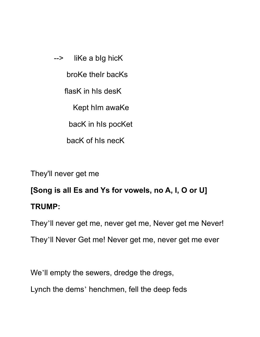--> liKe a bIg hicK broKe theIr bacKs flasK in hIs desK Kept hIm awaKe bacK in hIs pocKet bacK of hIs necK

They'll never get me

## **[Song is all Es and Ys for vowels, no A, I, O or U] TRUMP:**

They'll never get me, never get me, Never get me Never! They'll Never Get me! Never get me, never get me ever

We'll empty the sewers, dredge the dregs,

Lynch the dems' henchmen, fell the deep feds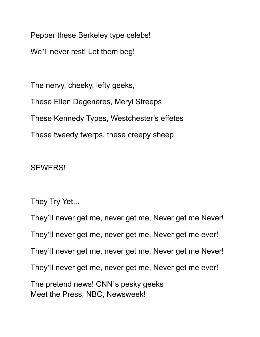Pepper these Berkeley type celebs!

We'll never rest! Let them beg!

The nervy, cheeky, lefty geeks, These Ellen Degeneres, Meryl Streeps These Kennedy Types, Westchester's effetes These tweedy twerps, these creepy sheep

## SEWERS!

They Try Yet...

They'll never get me, never get me, Never get me Never! They'll never get me, never get me, Never get me ever! They'll never get me, never get me, Never get me Never! They'll never get me, never get me, Never get me ever! The pretend news! CNN's pesky geeks Meet the Press, NBC, Newsweek!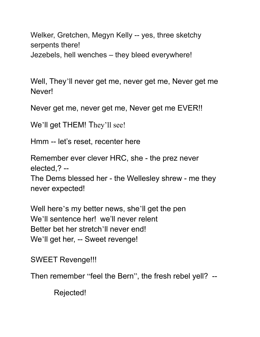Welker, Gretchen, Megyn Kelly -- yes, three sketchy serpents there! Jezebels, hell wenches – they bleed everywhere!

Well, They'll never get me, never get me, Never get me Never!

Never get me, never get me, Never get me EVER!!

We'll get THEM! They'll see!

Hmm -- let's reset, recenter here

Remember ever clever HRC, she - the prez never elected,? --

The Dems blessed her - the Wellesley shrew - me they never expected!

Well here's my better news, she'll get the pen We'll sentence her! we'll never relent Better bet her stretch'll never end! We'll get her, -- Sweet revenge!

SWEET Revenge!!!

Then remember "feel the Bern", the fresh rebel yell? --

Rejected!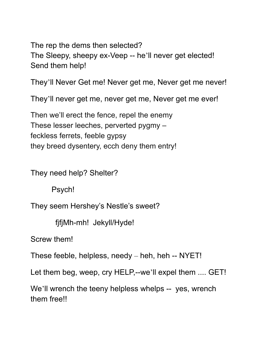The rep the dems then selected? The Sleepy, sheepy ex-Veep -- he'll never get elected! Send them help!

They'll Never Get me! Never get me, Never get me never!

They'll never get me, never get me, Never get me ever!

Then we'll erect the fence, repel the enemy These lesser leeches, perverted pygmy – feckless ferrets, feeble gypsy they breed dysentery, ecch deny them entry!

They need help? Shelter?

Psych!

They seem Hershey's Nestle's sweet?

fjfjMh-mh! Jekyll/Hyde!

Screw them!

These feeble, helpless, needy – heh, heh -- NYET!

Let them beg, weep, cry HELP,--we'll expel them .... GET!

We'll wrench the teeny helpless whelps -- yes, wrench them free!!